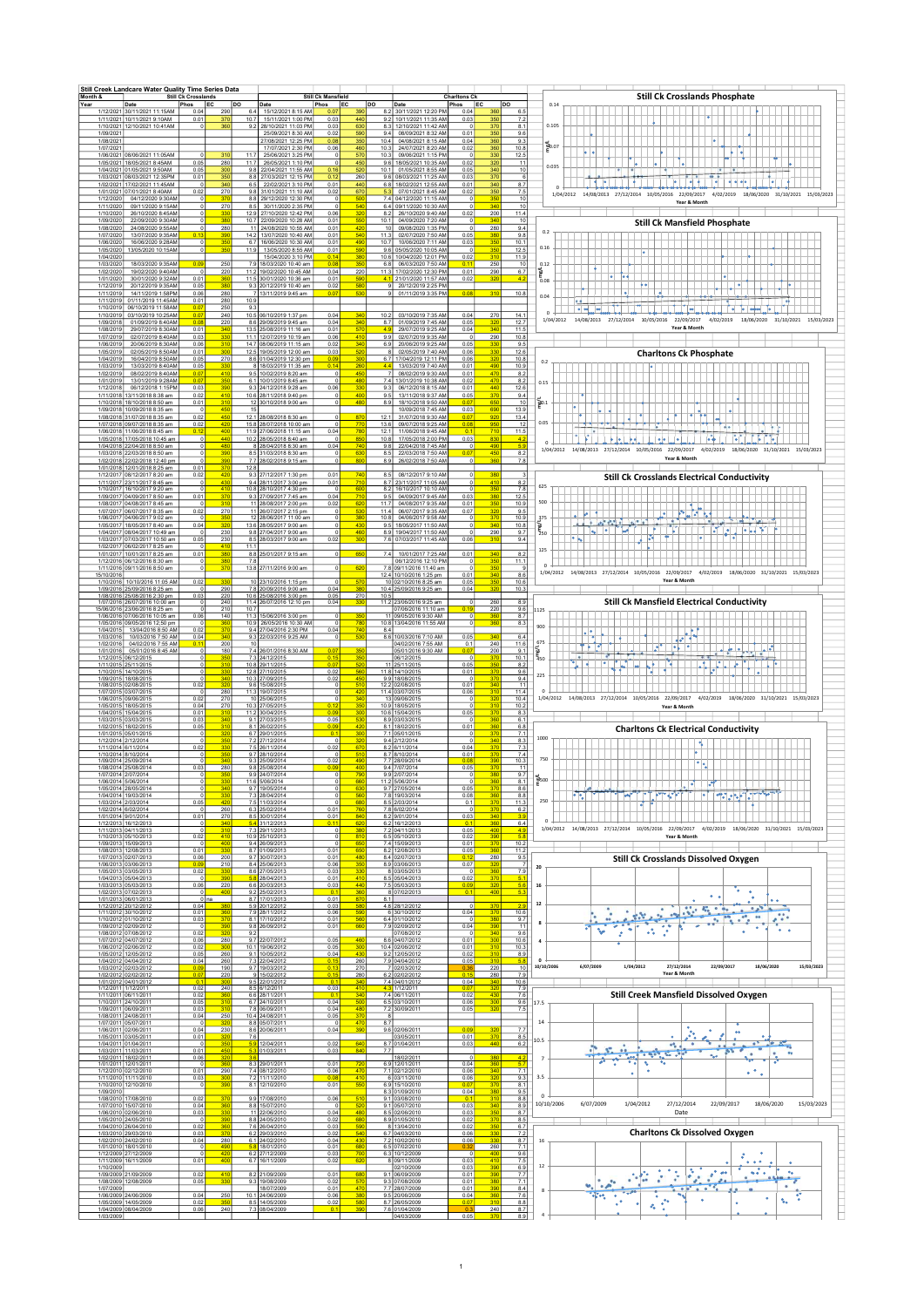| Month &                             | Still Creek Landcare Water Quality Time Series Data                                          | <b>Still Ck Crosslands</b>  |                               |                                                                                       | <b>Still Ck Mansfield</b>                  |                                  | <b>Charltons Cl</b>                                                                                     |                                          | <b>Still Ck Crosslands Phosphate</b>                                                                                                                                                        |  |  |  |  |  |  |  |  |  |
|-------------------------------------|----------------------------------------------------------------------------------------------|-----------------------------|-------------------------------|---------------------------------------------------------------------------------------|--------------------------------------------|----------------------------------|---------------------------------------------------------------------------------------------------------|------------------------------------------|---------------------------------------------------------------------------------------------------------------------------------------------------------------------------------------------|--|--|--|--|--|--|--|--|--|
| Year                                | Date<br>1/12/2021 30/11/2021 11:15AM                                                         | <b>IEC</b><br>Phos<br>0.04  | lDO<br>290                    | Date<br>15/12/2021 8:15 AM<br>6.4                                                     | <b>IEC</b><br>Phos                         | lpo                              | Phos<br>Date<br>8.2 30/11/2021 12:20 PM<br>0.04                                                         | <b>IEC</b>                               | DO<br>0.14<br>6.5                                                                                                                                                                           |  |  |  |  |  |  |  |  |  |
| 1/09/202                            | 1/11/2021 10/11/2021 9:10AM<br>1/10/2021 12/10/2021 10:41AM                                  | 0.01                        | 370<br>360                    | 10.7<br>15/11/2021 1:00 PM<br>9.2<br>28/10/2021 11:03 PM<br>25/09/2021 8:30 AM        | 0.03<br>0.03<br>0.02                       | 440<br>630<br>590                | 9.2<br>10/11/2021 11:35 AM<br>0.03<br>8.3 12/10/2021 11:42 AM<br>9.4<br>08/09/2021 8:32 AM<br>0.01      | 350<br>370<br>350                        | 7.2<br>0.105<br>8.1<br>9.6                                                                                                                                                                  |  |  |  |  |  |  |  |  |  |
| 1/08/202<br>1/07/2021               |                                                                                              |                             |                               | 27/08/2021 12:25 PM<br>17/07/2021 2:30 PM                                             | 0.08<br>0.06                               | 350<br>460<br>10.3               | 0.04<br>10.4 04/08/2021 8:15 AM<br>24/07/2021 8:20 AM<br>0.02                                           | 360<br>360                               | 9.3<br>١ō<br>들0.07<br>10.8                                                                                                                                                                  |  |  |  |  |  |  |  |  |  |
|                                     | 1/06/2021 08/06/2021 11:05AM<br>1/05/2021 18/05/2021 8:45AM                                  | 0.05                        | 310<br>280                    | 11.7<br>25/06/2021 3:25 PM<br>11.7<br>26/05/2021 1:10 PM                              | -C<br>-C                                   | 570<br>450                       | 10.3 09/06/2021 1:15 PM<br>9.6 18/05/2021 10:35 AM<br>0.02                                              | 330<br>320                               | 12.5<br>11<br>0.035                                                                                                                                                                         |  |  |  |  |  |  |  |  |  |
|                                     | 1/04/2021 01/05/2021 9:50AM<br>1/03/2021 08/03/2021 12:35PM                                  | 0.05<br>0.01                | 300<br>350                    | 9.8<br>22/04/2021 11:55 AM<br>8.8<br>27/03/2021 12:15 PM                              | 0.16<br>0.12                               | 520<br>260                       | 0.05<br>10.1 01/05/2021 8:55 AM<br>9.6 08/03/2021 11:25 AM<br>0.03                                      | 340<br>37C                               | 10<br>- 6<br><br>$\frac{1}{2}$<br>le.<br>٠<br>$\left  \bullet \right $                                                                                                                      |  |  |  |  |  |  |  |  |  |
| 1/02/2021<br>1/01/2021<br>1/12/2020 | 17/02/2021 11:45AM<br>07/01/2021 8:40AM<br>04/12/2020 9:30AM                                 | 0.02                        | 340<br>270                    | 6.5<br>22/02/2021 3:10 PM<br>9.8<br>31/01/2021 11:10 AM<br>8.8<br>29/12/2020 12:30 PM | 0.01<br>0.02                               | 440<br>670<br>50                 | 6.8 18/02/2021 12:55 AM<br>0.01<br>5.3 07/01/2021 8:45 AM<br>0.02<br>7.4 04/12/2020 11:15 AM            | 340<br>350                               | 8.7<br>7.5<br>1/04/2012 14/08/2013 27/12/2014 10/05/2016 22/09/2017<br>4/02/2019 18/06/2020 31/10/2021 15/03/2023<br>10                                                                     |  |  |  |  |  |  |  |  |  |
| 1/11/2020<br>1/10/2020              | 09/11/2020 9:15AM<br>26/10/2020 8:45AM                                                       |                             | 37<br>270<br>33               | 8.5<br>30/11/2020 2:35 PM<br>12.9<br>27/10/2020 12:42 PM                              | 0<br>0.06                                  | 540<br>32                        | 6.4 09/11/2020 10:30 AM<br>8.2<br>26/10/2020 9:40 AM<br>0.02                                            | 35<br>340<br>200                         | Year & Month<br>10<br>11.4                                                                                                                                                                  |  |  |  |  |  |  |  |  |  |
| 1/09/2020<br>1/08/2020              | 22/09/2020 9:30AN<br>24/08/2020 9:55AM                                                       |                             | 380<br>280                    | 10.7<br>22/09/2020 10:28 AM<br>24/08/2020 10:55 AM<br>11                              | 0.01<br>0.01                               | 55<br>42                         | 10.1 04/09/2020 7:20 AM<br>10 09/08/2020 1:35 PM                                                        | 340<br>280                               | 10<br><b>Still Ck Mansfield Phosphate</b><br>9.4                                                                                                                                            |  |  |  |  |  |  |  |  |  |
| 1/07/2020<br>1/06/2020              | 13/07/2020 9:35AM<br>16/06/2020 9:28AM                                                       |                             | 390<br>350                    | 14.2<br>13/07/2020 10:40 AM<br>6.7<br>16/06/2020 10:30 AM                             | 0.01<br>0.01                               | 54<br>490                        | 11.3 02/07/2020 7:50 AM<br>0.05<br>10.7 10/06/2020 7:11 AM<br>0.03                                      | 380<br>35                                | 0.2<br>9.8<br>10.1<br>0.16                                                                                                                                                                  |  |  |  |  |  |  |  |  |  |
| 1/05/2020<br>1/04/202               | 13/05/2020 10:15AM                                                                           |                             | 350                           | 11.9<br>13/05/2020 8:55 AM<br>15/04/2020 3:10 PM                                      | 0.01<br>0.14                               | 59<br>380<br>35                  | 9.6 05/05/2020 10:05 AM<br>0.02<br>10.6 10/04/2020 12:01 PM                                             | 35<br>310                                | 12.5<br>11.9<br>0.12                                                                                                                                                                        |  |  |  |  |  |  |  |  |  |
| 1/03/2020<br>1/02/2020<br>1/01/2020 | 18/03/2020 9:35AN<br>19/02/2020 9:40AM<br>30/01/2020 9:32AM                                  | 0.0<br>0.01                 | 250<br>220<br>36              | 7.9<br>18/03/2020 10:40 am<br>11.2 19/02/2020 10:45 AM<br>11.5 30/01/2020 10:36 am    | 0.0<br>0.04<br>0.01                        | 220<br>590                       | 06/03/2020 7:50 AM<br>6.8<br>0.1<br>0.01<br>11.3 17/02/2020 12:30 PM<br>4.1 21/01/2020 11:57 AM<br>0.02 | 250<br>290<br>320                        | 10<br>6.7<br>T.<br>4.2<br>5.08                                                                                                                                                              |  |  |  |  |  |  |  |  |  |
| 1/12/2019<br>1/11/2019              | 20/12/2019 9:35AM<br>14/11/2019 1:58PM                                                       | 0.05<br>0.06                | 380<br>280                    | 9.3<br>20/12/2019 10:40 am<br>7 13/11/2019 9:45 am                                    | 0.02<br>0.0                                | 58<br>53                         | 20/12/2019 2:25 PM<br>9 01/11/2019 3:35 PM<br>0.08                                                      | 310                                      | ÷÷.<br>٠<br>10.8<br>0.04                                                                                                                                                                    |  |  |  |  |  |  |  |  |  |
| 1/11/2019<br>1/10/2019              | 01/11/2019 11:45AM<br>06/10/2019 11:58AM                                                     | 0.01<br>0.0                 | 280<br>250                    | 10.9<br>9.3                                                                           |                                            |                                  |                                                                                                         |                                          | ъ<br>$\sim$ $\sim$ $\sim$ $\sim$ $\sim$ $\sim$                                                                                                                                              |  |  |  |  |  |  |  |  |  |
| 1/10/2019<br>1/09/2018<br>1/08/2019 | 03/10/2019 10:25AM<br>01/09/2019 8:40AM<br>29/07/2019 8:30AM                                 | $\mathbf{0}$<br>0.0<br>0.01 | 240<br>220<br>34              | 10.5 06/10/2019 1:37 pm<br>8.6 29/09/2019 9:45 am<br>13.5<br>25/08/2019 11:16 am      | 0.04<br>0.04<br>0.01                       | 10.2<br>340<br>57                | 03/10/2019 7:35 AM<br>0.04<br>8.7 01/09/2019 7:45 AM<br>0.05<br>29/07/2019 9:25 AM<br>4.9<br>0.04       | 270<br>$\overline{32}$<br>34             | 14.1<br>1/04/2012<br>14/08/2013 27/12/2014 10/05/2016 22/09/2017 4/02/2019<br>18/06/2020 31/10/2021 15/03/2023<br>12.7<br>Year & Month<br>11.5                                              |  |  |  |  |  |  |  |  |  |
| 1/07/2019<br>1/06/2019              | 02/07/2019 8:40AM<br>20/06/2019 8:30AN                                                       | 0.03<br>0.06                | 33<br>31(                     | 11.1 12/07/2019 10:19 am<br>14.7 08/06/2019 11:15 am                                  | 0.06<br>0.02                               | 410<br>34                        | 9.9 02/07/2019 9:35 AM<br>$^{\circ}$<br>6.9 20/06/2019 9:25 AM<br>0.05                                  | 290                                      | 10.8<br>9.5                                                                                                                                                                                 |  |  |  |  |  |  |  |  |  |
| 1/05/2019<br>1/04/2019              | 02/05/2019 8:50AM<br>16/04/2019 8:50AM                                                       | 0.01<br>0.05                | 30<br>270                     | 12.5 19/05/2019 12:00 am<br>8.6 01/04/2019 12:30 pm                                   | 0.03<br>0.01                               | 52<br>300                        | 02/05/2019 7:40 AM<br>0.06<br>81<br>6.7 17/04/2019 12:11 PM<br>0.06                                     | 320                                      | 12.6<br><b>Charltons Ck Phosphate</b><br>10.8<br>0.2                                                                                                                                        |  |  |  |  |  |  |  |  |  |
| 1/03/201<br>1/02/2019               | 13/03/2019 8:40AM<br>08/02/2019 8:40AM                                                       | 0.05<br>0.0                 | 33<br>410                     | 18/03/2019 11:35 am<br>9.5 10/02/2019 8:20 am                                         | 0.1                                        | 26<br>450                        | 4.4<br>13/03/2019 7:40 AM<br>0.01<br>7 08/02/2019 9:30 AM<br>0.01                                       | 49<br>470                                | 10.9<br>8.2                                                                                                                                                                                 |  |  |  |  |  |  |  |  |  |
| 1/01/2019<br>1/12/2018<br>1/11/2018 | 13/01/2019 9:28AM<br>06/12/2018 1:15PM<br>13/11/2018 8:38 am                                 | 0.0<br>0.03<br>0.02         | 35<br>39<br>41                | 6.1 10/01/2019 8:45 am<br>9.3 24/12/2018 9:28 am<br>10.6 28/11/2018 9:40 pm           | 0<br>0.06<br>0                             | 48<br>330<br>400                 | 7.4 13/01/2019 10:38 AM<br>0.02<br>9.3 06/12/2018 8:15 AM<br>0.01<br>9.5<br>13/11/2018 9:37 AM<br>0.05  | 47<br>440<br>37 <sub>0</sub>             | 8.2<br>0.15<br>12.6<br>9.4                                                                                                                                                                  |  |  |  |  |  |  |  |  |  |
|                                     | 1/10/2018 18/10/2018 8:50 am<br>1/09/2018 10/09/2018 8:35 am                                 | 0.01                        | 31(<br>45                     | 12 30/10/2018 9:00 am<br>15                                                           | $\Omega$                                   | 480                              | 8.9<br>18/10/2018 9:50 AM<br>0.07<br>10/09/2018 7:45 AM<br>0.03                                         | 650<br>69                                | 10<br>a0.1<br>13.9                                                                                                                                                                          |  |  |  |  |  |  |  |  |  |
|                                     | 1/08/2018 31/07/2018 8:35 am<br>1/07/2018 09/07/2018 8:35 am                                 | 0.02<br>0.02                | 45<br>420                     | 12.1 28/08/2018 8:30 am<br>15.8 28/07/2018 10:00 am                                   |                                            | 87<br>12.1<br>77                 | 31/07/2018 9:30 AM<br>13.6 09/07/2018 9:25 AM<br>0.08                                                   | 921<br>950                               | $\frac{1}{2}$<br>13.4<br>0.05<br>12<br>i e e i                                                                                                                                              |  |  |  |  |  |  |  |  |  |
| 1/06/2018<br>1/05/2018<br>1/04/2018 | 1/06/2018 8:45 am<br>17/05/2018 10:45 am<br>22/04/2018 8:50 am                               | 0.1                         | 40<br>440<br>48               | 11.9 27/06/2018 11:15 am<br>10.2 28/05/2018 8:40 am<br>8 28/04/2018 8:30 am           | 0.04<br>c<br>0.04                          | 78<br>12.1<br>850<br>10.8<br>740 | 11/06/2018 9:45 AM<br>$\mathbf{0}$<br>0.03<br>17/05/2018 2:00 PM<br>22/04/2018 7:45 AM<br>9.8           | 71<br>830<br>490                         | 11.5<br><b>A</b><br>$\sim$<br>$\bullet$<br>T M<br>4.2<br>b el<br>$\bullet$<br>5.8                                                                                                           |  |  |  |  |  |  |  |  |  |
|                                     | 1/03/2018 22/03/2018 8:50 am<br>1/02/2018 22/02/2018 12:40 pm                                |                             | 390<br>39                     | 8.5 31/03/2018 8:30 am<br>7.7 28/02/2018 9:15 am                                      |                                            | 630<br>800                       | 22/03/2018 7:50 AM<br>8.5<br>0.07<br>8.9<br>26/02/2018 7:50 AM<br>$^{\circ}$                            | 450<br>360                               | 1/04/2012 14/08/2013 27/12/2014 10/05/2016 22/09/2017 4/02/2019 18/06/2020 31/10/2021 15/03/2023<br>8.2<br>Year & Month<br>7.8                                                              |  |  |  |  |  |  |  |  |  |
|                                     | 1/01/2018 12/01/2018 8:25 am<br>1/12/2017 08/12/2017 8:20 am                                 | 0.01<br>0.02                | 37<br>42                      | 12.8<br>9.3 27/12/2017 1:30 pm                                                        | 0.01                                       | 740                              | 8.5<br>08/12/2017 9:10 AM<br>$\Omega$                                                                   | 380                                      | <b>Still Ck Crosslands Electrical Conductivity</b>                                                                                                                                          |  |  |  |  |  |  |  |  |  |
| 1/11/2017                           | 23/11/2017 8:45 am<br>1/10/2017 16/10/2017 9:20 am<br>04/09/2017 8:50 am                     | $\circ$                     | 43<br>41                      | 9.4 28/11/2017 3:00 pm<br>10.8 28/10/2017 4:30 pm                                     | 0.01                                       | 71<br>60                         | 8.7 23/11/2017 11:05 AM<br>8.2 16/10/2017 10:10 AM<br>$^{\circ}$                                        | 41<br>350                                | 8.2<br>625<br>7.8                                                                                                                                                                           |  |  |  |  |  |  |  |  |  |
| 1/09/201<br>1/08/2017               | 04/08/2017 8:45 am<br>1/07/2017 06/07/2017 8:35 am                                           | 0.01<br>0.02                | 37 <sub>0</sub><br>310<br>270 | 9.3 27/09/2017 7:45 am<br>11 28/08/2017 2:00 pm<br>11 26/07/2017 2:15 pm              | 0.04<br>0.02                               | 71<br>620<br>53<br>11.4          | 9.5<br>04/09/2017 9:45 AM<br>0.03<br>11.7<br>04/08/2017 9:35 AM<br>0.01<br>06/07/2017 9:35 AM<br>0.07   | 38<br>350                                | 12.5<br>500<br>10.9<br>$\frac{1}{2}$<br>9.5<br>ls.                                                                                                                                          |  |  |  |  |  |  |  |  |  |
|                                     | 1/06/2017 04/06/2017 9:02 am<br>1/05/2017 18/05/2017 8:40 am                                 | 0.04                        | 35<br>32                      | 12 28/06/2017 11:00 am<br>13.6 28/05/2017 9:00 am                                     | 0<br>0                                     | 38<br>10.8<br>43                 | 04/06/2017 9:58 AM<br>18/05/2017 11:50 AM<br>9.5                                                        | 37 <sub>0</sub><br>34                    | 10.9<br>375<br>$\mathcal{O}_\mathcal{A}$ , $\mathcal{O}_\mathcal{A}$<br>10.8<br>$\sim 5$<br>$\overline{\phantom{a}}$                                                                        |  |  |  |  |  |  |  |  |  |
|                                     | 1/04/2017 08/04/2017 10:49 am<br>1/03/2017 07/03/2017 10:50 am                               | - 0<br>0.05                 | 230<br>230                    | 9.8 27/04/2017 9:00 am<br>8.5 28/03/2017 9:00 am                                      | $^{\circ}$<br>0.02                         | 460<br>300                       | 8.9 19/04/2017 11:50 AM<br>$^{\circ}$<br>7.6 07/03/2017 11:45 AM<br>0.06                                | 290<br>310                               | န်း<br>250<br>$\left  \bullet \right $<br>w<br><b>Inches</b><br>9.7<br>$\bullet$ $\bullet$<br>9.4<br>Ť                                                                                      |  |  |  |  |  |  |  |  |  |
|                                     | 1/02/2017 06/02/2017 8:25 am<br>1/01/2017 10/01/2017 8:25 am<br>1/12/2016 06/12/2016 8:30 am | 0.01<br>$\Omega$            | 41<br>38<br>38                | 11.1<br>8.8 25/01/2017 9:15 am<br>7.8                                                 |                                            | 65                               | 10/01/2017 7:25 AM<br>0.01<br>7.4<br>06/12/2016 12:10 PM<br>$\Omega$                                    | 35                                       | 125<br>8.2<br>11.1                                                                                                                                                                          |  |  |  |  |  |  |  |  |  |
| 15/10/2016                          | 1/11/2016 09/11/2016 8:50 am                                                                 |                             | 37                            | 13.8 27/11/2016 9:00 am                                                               |                                            | 62                               | 7.8 09/11/2016 11:40 am<br>$^{\circ}$<br>12.4 10/10/2016 1:25 pm<br>0.01                                | 350<br>34                                | $\Omega$<br>1/04/2012 14/08/2013 27/12/2014 10/05/2016 22/09/2017 4/02/2019 18/06/2020 31/10/2021 15/03/2023<br>8.6                                                                         |  |  |  |  |  |  |  |  |  |
| 1/10/2016<br>1/09/2016<br>1/08/2016 | 10/10/2016 11:05 AM<br>25/09/2016 8:25 am<br>25/08/2016 2:30 pm                              | 0.02<br>0.03                | 290<br>220                    | 23/10/2016 1:15 pm<br>10<br>7.8 20/09/2016 9:00 am<br>10.6 25/08/2016 3:00 pm         | 0.04<br>0.05                               | 270<br>10.5                      | 10 02/10/2016 8:25 am<br>0.05<br>0.04<br>10.4 25/09/2016 9:25 am                                        | $\frac{351}{321}$                        | Year & Month<br>$\frac{10.6}{10.3}$                                                                                                                                                         |  |  |  |  |  |  |  |  |  |
| 1/07/2016<br>15/06/2016             | 26/07/2016 10:00 am<br>23/06/2016 8:25 am                                                    |                             | 240<br>210                    | 11.4 26/07/2016 12:10 pm<br>10.7                                                      | 0.04                                       | 33                               | 11.2 23/06/2016 9:25 am<br>0<br>07/06/2016 11:10 am                                                     | 260<br>$^{220}$                          | <b>Still Ck Mansfield Electrical Conductivity</b><br>8.9<br>9.6<br>1125                                                                                                                     |  |  |  |  |  |  |  |  |  |
| 1/04/2015                           | 1/06/2016 07/06/2016 10:05 am<br>1/05/2016 09/05/2016 12;50 pm                               | 0.06<br>0.02                | 140<br>360<br>37(             | 11.3 15/06/2016 3:00 pm<br>10.9 26/05/2016 10:30 AM<br>9.4 27/04/2016 2:30 PM         | $^{\circ}$<br>0.04                         | 35<br>780<br>740                 | 11 09/05/2016 9:30 AM<br>10.8 13/04/2016 11:55 AM<br>8.4                                                | 360<br>360                               | 8.7<br>8.3<br>900                                                                                                                                                                           |  |  |  |  |  |  |  |  |  |
| 1/03/2016<br>1/02/2016              | 13/04/2016 8:50 AM<br>10/03/2016 7:50 AM<br>04/02/2016 7:55 AM                               | 0.04<br>$0.1^{\circ}$       | 340<br>200                    | 9.3 22/03/2016 9:25 AM<br>10                                                          |                                            | 53                               | 8.6 10/03/2016 7:10 AM<br>0.05<br>04/02/2016 7:55 AM<br>0.1                                             | 340<br>240                               | 6.4<br>اماه<br>11.6<br>675                                                                                                                                                                  |  |  |  |  |  |  |  |  |  |
| 1/01/2016<br>1/11/2015              | 05/01/2016 8:45 AM<br>1/12/2015 06/12/2015<br>25/11/2015                                     |                             | 180<br>31                     | 7.4 26/01/2016 8:30 AM<br>7.3 24/12/2015<br>10.8 29/11/2015                           | 0.0<br>0.1<br>0.0                          |                                  | 05/01/2016 9:30 AM<br>0.0<br>06/12/2015<br>0<br>0.05<br>11 25/11/2015                                   | 200<br>37                                | $\mathcal{C} = \{ \mathcal{C} \mid \mathcal{C} \}$<br>9.1<br>管<br>450<br>10.1<br>$\bullet$ $\bullet$ <sup>+</sup><br>Ą.<br>▿<br>$\overline{\phantom{a}}$<br>$\overline{\phantom{a}}$<br>8.2 |  |  |  |  |  |  |  |  |  |
| 1/10/2015<br>1/09/201               | 14/10/2015<br>18/08/2015                                                                     |                             |                               | 12.8 27/10/2015<br>$10.3$ :<br>27/09/2015                                             | 0.02<br>0.02                               |                                  | 11.8 14/10/2015<br>0.01<br>9.9 18/08/2015                                                               | 37                                       | ₩<br>9.6<br>225<br>9.4                                                                                                                                                                      |  |  |  |  |  |  |  |  |  |
| 1/08/201<br>1/07/201<br>1/06/201    | 02/08/2015<br>13/07/2015<br>09/06/2015                                                       | 0.02<br>0.02                | 280<br>270                    | 9.6 15/08/2015<br>11.3 19/07/2015<br>10 25/06/2015                                    |                                            | 42<br>34                         | 0.01<br>12.2 02/08/2015<br>11.4 03/07/2015<br>0.06<br>13 09/06/2015                                     | 32                                       | 11<br>11.4<br>1/04/2012 14/08/2013 27/12/2014 10/05/2016 22/09/2017 4/02/2019 18/06/2020 31/10/2021 15/03/2023<br>10.4                                                                      |  |  |  |  |  |  |  |  |  |
| 1/05/2015<br>1/04/2015              | 18/05/2015<br>15/04/2015                                                                     | 0.04<br>0.01                | 270<br><u>31</u>              | 10.3 27/05/2015<br>11.2 30/04/2015                                                    | 0.12<br>0.09                               | 35<br>30(                        | 10.9 18/05/2015<br>0<br>10.6 15/04/2015<br>0.05                                                         | 31<br>37 <sub>0</sub>                    | 10.2<br>Year & Month<br>8.3                                                                                                                                                                 |  |  |  |  |  |  |  |  |  |
| 1/03/201<br>1/01/2015               | 03/03/2015<br>1/02/2015 18/02/2015<br>05/01/2015                                             | 0.03<br>0.05                | 34<br>310<br>32               | 91<br>27/03/2015<br>8.1 26/02/2015<br>6.7 29/01/2015                                  | 0.05<br>0 <sub>0</sub><br>$\overline{0}$ . | 53<br>420<br>30                  | 8.9 03/03/2015<br>$\Omega$<br>8.1 18/02/2015<br>0.01<br>7.1 05/01/2015<br>$\Omega$                      | 361<br>360<br>37                         | 6.1<br>6.8<br><b>Charltons Ck Electrical Conductivity</b><br>7.1                                                                                                                            |  |  |  |  |  |  |  |  |  |
|                                     | 1/12/2014 2/12/2014<br>1/11/2014 6/11/2014                                                   | $\Omega$<br>0.02            |                               | 7.2<br>27/12/2014<br>7.5<br>26/11/2014                                                | $\Omega$<br>0.02                           | 32<br>67                         | 9.4 2/12/2014<br>$\Omega$<br>8.2 6/11/2014<br>0.04                                                      | 340                                      | 1000<br>8.3<br>7.3                                                                                                                                                                          |  |  |  |  |  |  |  |  |  |
|                                     | 1/10/2014 8/10/2014<br>1/09/2014 25/09/2014<br>1/08/2014 25/08/2014                          | 0.03                        | 280                           | 9.7 28/10/2014<br>9.3 25/09/2014<br>9.8 25/08/2014                                    | 0.02                                       | 49                               | 8.7 8/10/2014<br>0.01<br>7.7 28/09/2014<br>9.4 7/07/2014<br>0.05                                        |                                          | 7.4<br>750<br>10.3<br>11                                                                                                                                                                    |  |  |  |  |  |  |  |  |  |
|                                     | 1/07/2014 2/07/2014<br>1/06/2014 5/06/2014                                                   |                             |                               | 9.9 24/07/2014<br>11.6<br>5/06/2014                                                   |                                            | 115                              | 9.9 2/07/2014<br>5/06/2014                                                                              |                                          | 9.7<br>₹<br>ल                                                                                                                                                                               |  |  |  |  |  |  |  |  |  |
|                                     | 1/05/2014 28/05/2014<br>1/04/2014 19/03/2014<br>1/03/2014 2/03/2014                          | 0<br>0.05                   | 34<br>33(<br>420              | 9.7 19/05/2014<br>7.3 28/04/2014<br>7.5 11/03/2014                                    | 0<br>0<br>$^{\circ}$                       | 63<br>560<br>680                 | 9.7 27/05/2014<br>0.05<br>7.8 19/03/2014<br>0.08<br>8.5 2/03/2014<br>0.1                                | 37<br>360<br>37(                         | 8.6<br><b>THE STATE</b><br>w<br>۴I<br>۰N<br>8.8<br>250                                                                                                                                      |  |  |  |  |  |  |  |  |  |
|                                     | 1/02/2014 6/02/2014<br>1/01/2014 9/01/2014<br>1/12/2013 16/12/2013                           | 01<br>0.01                  | 260<br>270<br>34              | 6.3 25/02/2014<br>8.5 30/01/2014<br>5.4<br>31/12/2013                                 | 0.01<br>0.01<br>0.1                        | 76<br>840<br>62                  | 7.8 6/02/2014<br>- 0<br>8.2 9/01/2014<br>0.03<br>6.2 16/12/2013<br>$\Omega$ .                           | 370<br>340<br>360                        | $\frac{11.3}{6.2}$<br>3.9<br>$\Omega$<br>6.4                                                                                                                                                |  |  |  |  |  |  |  |  |  |
| 1/10/2013                           | 1/11/2013 04/11/2013<br>05/10/2013                                                           | 0.02                        | $\overline{31}$<br>41         | 7.3 29/11/2013<br>10.9 25/10/2013                                                     | 0                                          | 38<br>81                         | 0.05<br>7.2 04/11/2013<br>0.02<br>6.5 05/10/2013                                                        | 400                                      | 1/04/2012 14/08/2013 27/12/2014 10/05/2016 22/09/2017<br>4/02/2019<br>18/06/2020 31/10/2021 15/03/2023<br>4.9<br>5.8<br>Year & Month                                                        |  |  |  |  |  |  |  |  |  |
| 1/08/2013                           | 1/09/2013 15/09/2013<br>12/08/2013<br>1/07/2013 02/07/2013                                   | 0.01<br>0.06                | 400<br>33<br>200              | 9.4 26/09/2013<br>8.7 01/09/2013<br>9.7 30/07/2013                                    | 0<br>0.01<br>0.01                          | 65<br>65<br>48                   | 7.4 15/09/2013<br>0.01<br>0.05<br>8.2 12/08/2013<br>8.4 02/07/2013                                      | 37<br>361<br>280                         | 10.2<br>11.2<br>9.5<br><b>Still Ck Crosslands Dissolved Oxygen</b>                                                                                                                          |  |  |  |  |  |  |  |  |  |
| 1/06/201                            | 03/06/2013<br>1/05/2013 03/05/2013<br>05/04/2013                                             | 0.02                        | 210<br>39                     | 8.4 25/06/2013<br>8.6 27/05/2013                                                      | 0.06<br>0.03                               | 35<br>33                         | 8.9 03/06/2013<br>0.07<br>8 03/05/2013                                                                  | 36                                       | 20<br>7.9<br>5.1                                                                                                                                                                            |  |  |  |  |  |  |  |  |  |
| 1/04/2013<br>1/02/2013              | 1/03/2013 05/03/2013<br>07/02/2013                                                           | 0.06                        | 220<br>400                    | 5.8 28/04/2013<br>6.6 20/03/2013<br>9.2 25/02/2013                                    | 0.01<br>0.03                               | 41<br>440<br>36                  | 8.5 05/04/2013<br>0.02<br>7.5 05/03/2013<br>0.09<br>$\overline{0}$ .<br>8 07/02/2013                    | 37<br>320<br>400                         | 5.6<br>16<br>5.3                                                                                                                                                                            |  |  |  |  |  |  |  |  |  |
| 1/01/2013<br>1/12/2012<br>1/11/2012 | 06/01/2013<br>20/12/2012                                                                     | 0 na<br>0.04                | 36                            | 8.7 17/01/2013<br>5.9 20/12/2012                                                      | 0.01<br>0.03                               | 870<br>58<br>59                  | 81<br>4.8 28/12/2012<br>$\Omega$<br>0.04                                                                | 37 <sub>0</sub><br>37 <sub>0</sub>       | $^{\circ}$<br>12<br>21<br>4,                                                                                                                                                                |  |  |  |  |  |  |  |  |  |
| 1/10/2012<br>1/09/2012              | 30/10/2012<br>01/10/2012<br>02/09/2012                                                       | 0.01<br>0.03                |                               | 7.9 28/11/2012<br>8.1 17/10/2012<br>9.8 26/09/2012                                    | 0.06<br>0.01<br>0.01                       | 56<br>66                         | 6 30/10/2012<br>6.4 01/10/2012<br>7.9 02/09/2012<br>0.04                                                | 39                                       | 10.6<br>and a<br>$^{\circ}$<br>۰,<br>9.7<br>$\bullet$<br>11<br>а                                                                                                                            |  |  |  |  |  |  |  |  |  |
| 1/08/2012                           | 07/08/2012<br>1/07/2012 04/07/2012<br>1/06/2012 02/06/2012                                   | 0.02<br>0.06<br>0.02        | 280<br>30                     | 9.2<br>9.7 22/07/2012<br>10.1 19/06/2012                                              | 0.05<br>0.05                               | 30                               | 07/08/2012<br>$^{\circ}$<br>8.6 04/07/2012<br>0.01<br>10.4 02/06/2012<br>0.01                           | 34                                       | 9.6<br>$\frac{10.6}{10.3}$<br>$\pmb{4}$                                                                                                                                                     |  |  |  |  |  |  |  |  |  |
|                                     | 1/05/2012 12/05/2012<br>1/04/2012 04/04/2012                                                 | 0.05<br>0.04                | 260<br>260                    | 9.1 10/05/2012<br>7.3 22/04/2012                                                      | 0.04<br>0.1                                | 43<br>260                        | 9.2 12/05/2012<br>0.02<br>7.9 04/04/2012<br>0.05                                                        | 31(                                      | 8.9<br>5.8<br>15/03/2023<br>10/10/2006<br>6/07/2009<br>1/04/2012<br>27/12/2014<br>22/09/2017<br>18/06/2020                                                                                  |  |  |  |  |  |  |  |  |  |
|                                     | 1/03/2012 02/03/2012<br>1/02/2012 02/02/2012<br>1/01/2012 04/01/2012                         | 0.0<br>0.0<br>$\Omega$      | 190<br>220<br>30              | 9.7 19/03/2012<br>9 15/02/2012<br>9.5 22/01/2012                                      | 0.1<br>0.1<br>$\overline{0}$ .             | 270<br>280<br>340                | 7 02/03/2012<br>6.2 02/02/2012<br>0.1<br>7.4 04/01/2012<br>0.04                                         | 220<br>280<br>340                        | 10<br>Year & Month<br>7.9                                                                                                                                                                   |  |  |  |  |  |  |  |  |  |
|                                     | 1/12/2011 1/12/2011<br>1/11/2011 06/11/2011                                                  | 0.02<br>0.02                | 240<br>36<br>$\overline{31}$  | 8.5 6/12/2011<br>6.6 28/11/2011                                                       | 0.03<br>0.1                                | 410<br>340<br>50                 | 4.3 1/12/2011<br>0.07<br>0.02<br>7.4 06/11/2011                                                         | $\overline{32}$<br>43<br>30 <sub>1</sub> | $\frac{10.6}{7.9}$<br><b>Still Creek Mansfield Dissolved Oxygen</b><br>7.6                                                                                                                  |  |  |  |  |  |  |  |  |  |
|                                     | 1/10/2011 24/10/2011<br>1/09/2011 06/09/2011<br>1/08/2011 24/08/2011                         | 0.05<br>0.03<br>0.04        | 31<br>250                     | 6.7 24/10/2011<br>7.8 06/09/2011<br>10.4 24/08/2011                                   | 0.04<br>0.04<br>0.05                       | 48<br>37                         | 0.06<br>6.5 03/10/2011<br>0.05<br>7.2 30/09/2011<br>-8                                                  |                                          | 9.6<br>17.5<br>7.5                                                                                                                                                                          |  |  |  |  |  |  |  |  |  |
| 1/05/201                            | 1/07/2011 05/07/2011<br>1/06/2011 02/06/2011<br>03/05/2011                                   | 0.04                        | 32<br>230                     | 8.8 05/07/2011<br>8.6 20/06/2011<br>7.6                                               | 0.04                                       | 47<br>8.7<br>39                  | 9.6 02/06/2011<br>03/05/2011                                                                            |                                          | 14<br>7.7<br>8.5                                                                                                                                                                            |  |  |  |  |  |  |  |  |  |
|                                     | 1/04/2011 01/04/2011<br>1/03/2011 11/03/2011                                                 | 0.01<br>0.01                | 35<br>45                      | 12/04/2011<br>5.9<br>5.<br>01/03/2011                                                 | 0.02<br>0.03                               | 64<br>840                        | 0.01<br>8.7 01/04/2011<br>0.03<br>7.7                                                                   | 440                                      | 10.5<br>6.2<br>ot.                                                                                                                                                                          |  |  |  |  |  |  |  |  |  |
| 1/01/2011                           | 1/02/2011 18/02/2011<br>12/01/2011<br>1/12/2010 02/12/2010                                   | 0.06<br>0.01                | 320<br>36<br>290              | 3.6<br>8.3 29/01/2011<br>7.4 08/12/2010                                               | 0.01<br>0.06                               | 72<br>470                        | 18/02/2011<br>6.9 12/01/2011<br>0.04<br>7.1 02/12/2010<br>0.06                                          | 360<br>340                               | 4.3<br>-7<br>5.7<br>7.1<br>٠                                                                                                                                                                |  |  |  |  |  |  |  |  |  |
| 1/11/2010                           | 11/11/2010<br>1/10/2010 12/10/2010                                                           | 0.03                        | 39                            | 7.2 11/11/2010<br>8.1 12/10/2010                                                      | 0.01                                       | 41<br>550                        | 6 03/11/2010<br>0.06<br>6.9 15/10/2010                                                                  | 32<br>37                                 | ٠<br>9.3<br>3.5<br>8.1                                                                                                                                                                      |  |  |  |  |  |  |  |  |  |
| 1/09/2010<br>1/08/2010              | 17/08/2010<br>1/07/2010 15/07/2010                                                           | 0.02<br>0.04                | 36                            | 9.9 17/08/2010<br>8.8 15/07/2010                                                      | 0.06                                       | 51<br>52                         | 8.3 01/09/2010<br>0.04<br>9.1 03/08/2010<br>$\Omega$ .<br>0.03<br>9.1 05/07/2010                        | 38<br>31<br>34                           | 9.5<br>$\mathbf{0}$<br>8.8<br>10/10/2006<br>6/07/2009<br>1/04/2012<br>27/12/2014<br>22/09/2017<br>18/06/2020<br>15/03/2023<br>8.9                                                           |  |  |  |  |  |  |  |  |  |
|                                     | 1/06/2010 02/06/2010<br>1/05/2010 24/05/2010                                                 | 0.03                        |                               | 11 22/06/2010<br>8.8 24/05/2010                                                       | 0.04<br>0.02                               | 48<br>68                         | 0.03<br>8.5 02/06/2010<br>8.9 01/05/2010<br>0.02                                                        |                                          | Date<br>$\frac{8.7}{8.5}$<br>6.7                                                                                                                                                            |  |  |  |  |  |  |  |  |  |
|                                     | 1/04/2010 26/04/2010<br>1/03/2010 29/03/2010<br>1/02/2010 24/02/2010                         | 0.02<br>0.03<br>0.04        | 37<br>280                     | 7.6 26/04/2010<br>6.2 29/03/2010<br>6.1 24/02/2010                                    | 0.03<br>0.02<br>0.04                       | 59<br>54<br>43                   | 8 13/04/2010<br>0.02<br>6.7 04/03/2010<br>0.06<br>7.2 10/02/2010<br>0.06                                | 33<br>33                                 | <b>Charltons Ck Dissolved Oxygen</b><br>7.2<br>8.7<br>16                                                                                                                                    |  |  |  |  |  |  |  |  |  |
|                                     | 1/01/2010 18/01/2010<br>1/12/2009 27/12/2009                                                 |                             | 490<br>42                     | 5.8 18/01/2010<br>6.2 27/12/2009                                                      | 0.01<br>0.03                               | 680<br>700                       | 6.5 07/02/2010<br>6.3 10/12/2009                                                                        | 260<br>400                               | 7.1<br>9.6<br>å                                                                                                                                                                             |  |  |  |  |  |  |  |  |  |
| 1/10/2009                           | 1/11/2009 16/11/2009<br>1/09/2009 21/09/2009                                                 | 0.01<br>0.02                | 400<br>41                     | 6.7 16/11/2009<br>8.2 21/09/2009                                                      | 0.02<br>0.01                               | 62(<br>68                        | 8 09/11/2009<br>0.03<br>0.03<br> 02/10/2009<br>9.1 06/09/2009<br>0.01                                   | 410<br>391<br>390                        | $\frac{7.5}{6.9}$<br>12<br>$\mathbf{a}$<br>$\mathbf{e}_\mathbf{0}$<br>7.7                                                                                                                   |  |  |  |  |  |  |  |  |  |
| 1/07/2009                           | 1/08/2009 12/08/2009<br>1/06/2009 24/06/2009                                                 | 0.05<br>0.04                | 33<br>250                     | 9.3 19/08/2009<br>18/07/2009<br>10.1 24/06/2009                                       | 0.02<br>0.01<br>0.06                       | 5<br>47<br>38                    | 0.01<br>9.3 07/08/2009<br>7.7 28/07/2009<br>0.01<br>9.5 20/06/2009<br>0.04                              | 390<br>36                                | 7.1<br>8.4<br>8<br>$^{\circ}$<br>ť<br>7.6                                                                                                                                                   |  |  |  |  |  |  |  |  |  |
| 1/03/2009                           | 1/05/2009 14/05/2009<br>1/04/2009 08/04/2009                                                 | 0.02<br>0.06                | 350<br>240                    | 8.5 14/05/2009<br>7.3 <br>08/04/2009                                                  | 0.02<br>$\overline{\mathbf{0}}$ .          | 58                               | 8.7 26/05/2009<br>0.0<br>7.6 01/04/2009<br>04/03/2009<br>0.05                                           | 310<br>240                               | ٩.<br>$\mathcal{C}$<br>8.8<br>e.<br>8.7<br>4<br>8.9                                                                                                                                         |  |  |  |  |  |  |  |  |  |
|                                     |                                                                                              |                             |                               |                                                                                       |                                            |                                  |                                                                                                         |                                          |                                                                                                                                                                                             |  |  |  |  |  |  |  |  |  |

 $\frac{1}{1}$